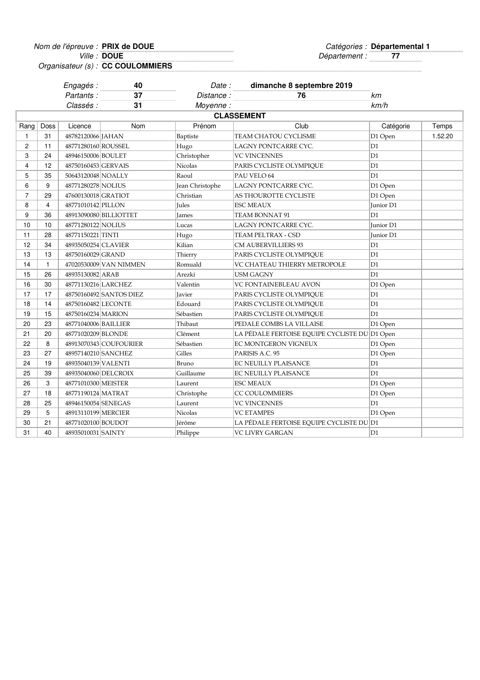**DOUE**

Nom de l'épreuve : Catégories : **PRIX de DOUE Départemental 1** Ville : Département : **77**

Organisateur (s) : **CC COULOMMIERS**

|                |                   | Engagés:             | 40                      |                 | Date: dimanche 8 septembre 2019               |                  |         |  |  |
|----------------|-------------------|----------------------|-------------------------|-----------------|-----------------------------------------------|------------------|---------|--|--|
|                |                   | Partants:            | 37                      | Distance:       | 76                                            | kт               |         |  |  |
|                |                   | Classés :            | 31                      | Moyenne:        |                                               | km/h             |         |  |  |
|                | <b>CLASSEMENT</b> |                      |                         |                 |                                               |                  |         |  |  |
| Rang           | Doss              | Licence              | Nom                     | Prénom          | Club                                          | Catégorie        | Temps   |  |  |
| 1              | 31                | 48782120066 JAHAN    |                         | Baptiste        | TEAM CHATOU CYCLISME                          | D1 Open          | 1.52.20 |  |  |
| 2              | 11                | 48771280160 ROUSSEL  |                         | Hugo            | LAGNY PONTCARRE CYC.                          | D1               |         |  |  |
| 3              | 24                | 48946150006 BOULET   |                         | Christopher     | <b>VC VINCENNES</b>                           | D <sub>1</sub>   |         |  |  |
| 4              | 12                | 48750160453 GERVAIS  |                         | Nicolas         | PARIS CYCLISTE OLYMPIQUE                      | D1               |         |  |  |
| 5              | 35                | 50643120048 NOALLY   |                         | Raoul           | PAU VELO 64                                   | D <sub>1</sub>   |         |  |  |
| 6              | 9                 | 48771280278 NOLIUS   |                         | Jean Christophe | LAGNY PONTCARRE CYC.                          | D1 Open          |         |  |  |
| $\overline{7}$ | 29                | 47600130018 GRATIOT  |                         | Christian       | AS THOUROTTE CYCLISTE                         | D1 Open          |         |  |  |
| 8              | 4                 | 48771010142 PILLON   |                         | <b>Jules</b>    | <b>ESC MEAUX</b>                              | Junior D1        |         |  |  |
| 9              | 36                |                      | 48913090080 BILLIOTTET  | James           | TEAM BONNAT 91                                | D1               |         |  |  |
| 10             | 10                | 48771280122 NOLIUS   |                         | Lucas           | LAGNY PONTCARRE CYC.                          | <b>Iunior D1</b> |         |  |  |
| 11             | 28                | 48771150221 TINTI    |                         | Hugo            | TEAM PELTRAX - CSD                            | Junior D1        |         |  |  |
| 12             | 34                | 48935050254 CLAVIER  |                         | Kilian          | <b>CM AUBERVILLIERS 93</b>                    | D1               |         |  |  |
| 13             | 13                | 48750160029 GRAND    |                         | Thierry         | PARIS CYCLISTE OLYMPIQUE                      | D1               |         |  |  |
| 14             | 1                 |                      | 47020530009 VAN NIMMEN  | Romuald         | VC CHATEAU THIERRY METROPOLE                  | D1               |         |  |  |
| 15             | 26                | 48935130082 ARAB     |                         | Arezki          | <b>USM GAGNY</b>                              | D1               |         |  |  |
| 16             | 30                | 48771130216 LARCHEZ  |                         | Valentin        | VC FONTAINEBLEAU AVON                         | D1 Open          |         |  |  |
| 17             | 17                |                      | 48750160492 SANTOS DIEZ | Javier          | PARIS CYCLISTE OLYMPIQUE                      | D1               |         |  |  |
| 18             | 14                | 48750160482 LECONTE  |                         | Edouard         | PARIS CYCLISTE OLYMPIQUE                      | D1               |         |  |  |
| 19             | 15                | 48750160234 MARION   |                         | Sébastien       | PARIS CYCLISTE OLYMPIQUE                      | D1               |         |  |  |
| 20             | 23                | 48771040006 BAILLIER |                         | Thibaut         | PEDALE COMBS LA VILLAISE                      | D1 Open          |         |  |  |
| 21             | 20                | 48771020209 BLONDE   |                         | Clément         | LA PÉDALE FERTOISE EQUIPE CYCLISTE DU D1 Open |                  |         |  |  |
| 22             | 8                 |                      | 48913070343 COUFOURIER  | Sébastien       | EC MONTGERON VIGNEUX                          | D1 Open          |         |  |  |
| 23             | 27                | 48957140210 SANCHEZ  |                         | Gilles          | PARISIS A.C. 95                               | D1 Open          |         |  |  |
| 24             | 19                | 48935040139 VALENTI  |                         | Bruno           | EC NEUILLY PLAISANCE                          | D1               |         |  |  |
| 25             | 39                | 48935040060 DELCROIX |                         | Guillaume       | EC NEUILLY PLAISANCE                          | D1               |         |  |  |
| 26             | 3                 | 48771010300 MEISTER  |                         | Laurent         | <b>ESC MEAUX</b>                              | D1 Open          |         |  |  |
| 27             | 18                | 48771190124 MATRAT   |                         | Christophe      | CC COULOMMIERS                                | D1 Open          |         |  |  |
| 28             | 25                | 48946150054 SENEGAS  |                         | Laurent         | <b>VC VINCENNES</b>                           | D1               |         |  |  |
| 29             | 5                 | 48913110199 MERCIER  |                         | Nicolas         | <b>VC ETAMPES</b>                             | D1 Open          |         |  |  |
| 30             | 21                | 48771020100 BOUDOT   |                         | Jérôme          | LA PÉDALE FERTOISE EQUIPE CYCLISTE DU D1      |                  |         |  |  |
| 31             | 40                | 48935010031 SAINTY   |                         | Philippe        | VC LIVRY GARGAN                               | D1               |         |  |  |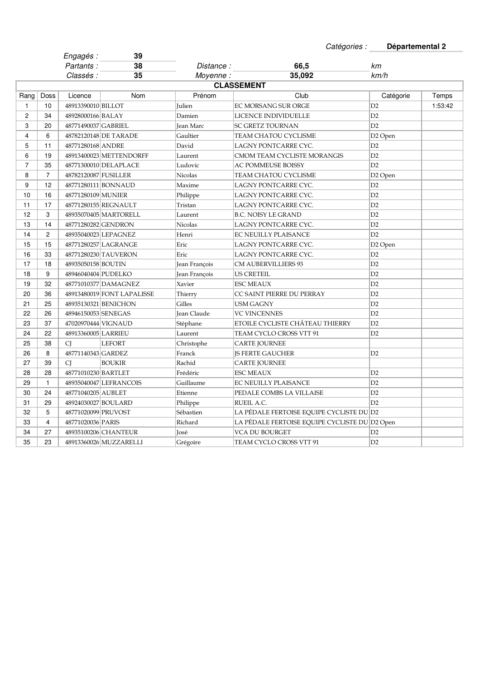|                |                   | Engagés :            | 39                         |                   | outogonoo .                                   | 50                  |         |  |  |
|----------------|-------------------|----------------------|----------------------------|-------------------|-----------------------------------------------|---------------------|---------|--|--|
|                |                   | Partants:            | 38                         | <i>Distance :</i> | 66,5                                          | km                  |         |  |  |
|                |                   | Classés :            | .<br>35                    | Moyenne:          | 35,092                                        | km/h                |         |  |  |
|                | <b>CLASSEMENT</b> |                      |                            |                   |                                               |                     |         |  |  |
| Rang           | Doss              | Licence              | Nom                        | Prénom            | Club                                          | Catégorie           | Temps   |  |  |
| $\mathbf{1}$   | 10                | 48913390010 BILLOT   |                            | Julien            | <b>EC MORSANG SUR ORGE</b>                    | D2                  | 1:53:42 |  |  |
| $\overline{c}$ | 34                | 48928000166 BALAY    |                            | Damien            | LICENCE INDIVIDUELLE                          | D2                  |         |  |  |
| 3              | 20                | 48771490037 GABRIEL  |                            | Jean Marc         | <b>SC GRETZ TOURNAN</b>                       | D2                  |         |  |  |
| 4              | 6                 |                      | 48782120148 DE TARADE      | Gaultier          | TEAM CHATOU CYCLISME                          | D <sub>2</sub> Open |         |  |  |
| 5              | 11                | 48771280168 ANDRE    |                            | David             | LAGNY PONTCARRE CYC.                          | D <sub>2</sub>      |         |  |  |
| 6              | 19                |                      | 48913400023 METTENDORFF    | Laurent           | CMOM TEAM CYCLISTE MORANGIS                   | D2                  |         |  |  |
| $\overline{7}$ | 35                |                      | 48771300010 DELAPLACE      | Ludovic           | AC POMMEUSE BOISSY                            | D2                  |         |  |  |
| 8              | $\overline{7}$    | 48782120087 FUSILLER |                            | <b>Nicolas</b>    | TEAM CHATOU CYCLISME                          | D2 Open             |         |  |  |
| 9              | 12                |                      | 48771280111 BONNAUD        | Maxime            | LAGNY PONTCARRE CYC.                          | D <sub>2</sub>      |         |  |  |
| 10             | 16                | 48771280109 MUNIER   |                            | Philippe          | LAGNY PONTCARRE CYC.                          | D2                  |         |  |  |
| 11             | 17                |                      | 48771280155 REGNAULT       | Tristan           | LAGNY PONTCARRE CYC.                          | D2                  |         |  |  |
| 12             | 3                 |                      | 48935070405 MARTORELL      | Laurent           | <b>B.C. NOISY LE GRAND</b>                    | D2                  |         |  |  |
| 13             | 14                | 48771280282 GENDRON  |                            | Nicolas           | LAGNY PONTCARRE CYC.                          | D2                  |         |  |  |
| 14             | $\overline{2}$    |                      | 48935040023 LEPAGNEZ       | Henri             | EC NEUILLY PLAISANCE                          | D <sub>2</sub>      |         |  |  |
| 15             | 15                |                      | 48771280257 LAGRANGE       | Eric              | LAGNY PONTCARRE CYC.                          | D2 Open             |         |  |  |
| 16             | 33                |                      | 48771280230 TAUVERON       | Eric              | LAGNY PONTCARRE CYC.                          | D2                  |         |  |  |
| 17             | 18                | 48935050158 BOUTIN   |                            | Jean François     | <b>CM AUBERVILLIERS 93</b>                    | D2                  |         |  |  |
| 18             | 9                 | 48946040404 PUDELKO  |                            | Jean François     | <b>US CRETEIL</b>                             | D2                  |         |  |  |
| 19             | 32                |                      | 48771010377 DAMAGNEZ       | Xavier            | <b>ESC MEAUX</b>                              | D2                  |         |  |  |
| 20             | 36                |                      | 48913480019 FONT LAPALISSE | Thierry           | CC SAINT PIERRE DU PERRAY                     | D2                  |         |  |  |
| 21             | 25                |                      | 48935130321 BENICHON       | Gilles            | <b>USM GAGNY</b>                              | D2                  |         |  |  |
| 22             | 26                | 48946150053 SENEGAS  |                            | Jean Claude       | <b>VC VINCENNES</b>                           | D <sub>2</sub>      |         |  |  |
| 23             | 37                | 47020970444 VIGNAUD  |                            | Stéphane          | ETOILE CYCLISTE CHÂTEAU THIERRY               | D2                  |         |  |  |
| 24             | 22                | 48913360005 LARRIEU  |                            | Laurent           | TEAM CYCLO CROSS VTT 91                       | D <sub>2</sub>      |         |  |  |
| 25             | 38                | CI.                  | <b>LEFORT</b>              | Christophe        | <b>CARTE JOURNEE</b>                          |                     |         |  |  |
| 26             | 8                 | 48771140343 GARDEZ   |                            | Franck            | <b>IS FERTE GAUCHER</b>                       | D2                  |         |  |  |
| 27             | 39                | <b>CI</b>            | <b>BOUKIR</b>              | Rachid            | <b>CARTE JOURNEE</b>                          |                     |         |  |  |
| 28             | 28                | 48771010230 BARTLET  |                            | Frédéric          | <b>ESC MEAUX</b>                              | D2                  |         |  |  |
| 29             | $\mathbf{1}$      |                      | 48935040047 LEFRANCOIS     | Guillaume         | <b>EC NEUILLY PLAISANCE</b>                   | D <sub>2</sub>      |         |  |  |
| 30             | 24                | 48771040205 AUBLET   |                            | Etienne           | PEDALE COMBS LA VILLAISE                      | D2                  |         |  |  |
| 31             | 29                | 48924030027 BOULARD  |                            | Philippe          | RUEIL A.C.                                    | D2                  |         |  |  |
| 32             | 5                 | 48771020099 PRUVOST  |                            | Sébastien         | LA PÉDALE FERTOISE EQUIPE CYCLISTE DU D2      |                     |         |  |  |
| 33             | 4                 | 48771020036 PARIS    |                            | Richard           | LA PÉDALE FERTOISE EQUIPE CYCLISTE DU D2 Open |                     |         |  |  |
| 34             | 27                |                      | 48935100206 CHANTEUR       | <b>José</b>       | VCA DU BOURGET                                | D2                  |         |  |  |
| 35             | 23                |                      | 48913360026 MUZZARELLI     | Grégoire          | TEAM CYCLO CROSS VTT 91                       | D2                  |         |  |  |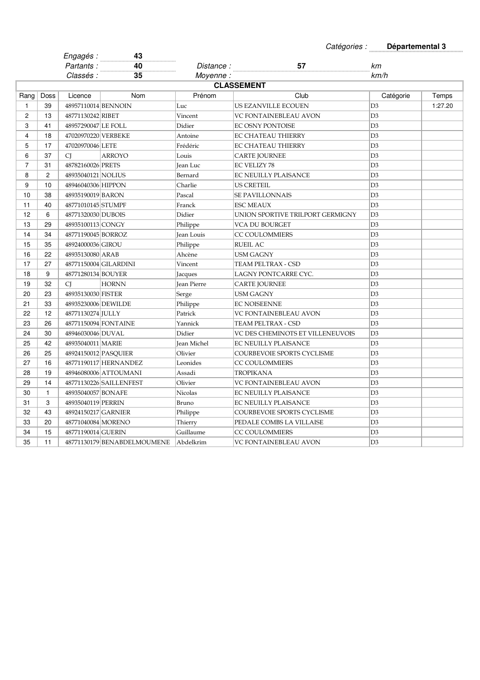|                |                   | Engagés :            | 43                          |                    |                                  |                |         |  |  |  |
|----------------|-------------------|----------------------|-----------------------------|--------------------|----------------------------------|----------------|---------|--|--|--|
|                |                   | Partants:            | 40<br>.                     | <i>Distance :</i>  | 57                               | km             |         |  |  |  |
|                |                   | <i>Classés :</i>     | 35                          | Moyenne:           |                                  | km/h           |         |  |  |  |
|                | <b>CLASSEMENT</b> |                      |                             |                    |                                  |                |         |  |  |  |
| Rang           | Doss              | Licence              | Nom                         | Prénom             | Club                             | Catégorie      | Temps   |  |  |  |
| 1              | 39                | 48957110014 BENNOIN  |                             | Luc                | US EZANVILLE ECOUEN              | D <sub>3</sub> | 1:27.20 |  |  |  |
| 2              | 13                | 48771130242 RIBET    |                             | Vincent            | VC FONTAINEBLEAU AVON            | D <sub>3</sub> |         |  |  |  |
| 3              | 41                | 48957290047 LE FOLL  |                             | Didier             | EC OSNY PONTOISE                 | D3             |         |  |  |  |
| 4              | 18                | 47020970220 VERBEKE  |                             | Antoine            | <b>EC CHATEAU THIERRY</b>        | D <sub>3</sub> |         |  |  |  |
| 5              | 17                | 47020970046 LETE     |                             | Frédéric           | EC CHATEAU THIERRY               | D <sub>3</sub> |         |  |  |  |
| 6              | 37                | CI                   | <b>ARROYO</b>               | Louis              | CARTE JOURNEE                    | D <sub>3</sub> |         |  |  |  |
| $\overline{7}$ | 31                | 48782160026 PRETS    |                             | Jean Luc           | <b>EC VELIZY 78</b>              | D3             |         |  |  |  |
| 8              | 2                 | 48935040121 NOLIUS   |                             | Bernard            | EC NEUILLY PLAISANCE             | D <sub>3</sub> |         |  |  |  |
| 9              | 10                | 48946040306 HIPPON   |                             | Charlie            | <b>US CRETEIL</b>                | D <sub>3</sub> |         |  |  |  |
| 10             | 38                | 48935190019 BARON    |                             | Pascal             | <b>SE PAVILLONNAIS</b>           | D <sub>3</sub> |         |  |  |  |
| 11             | 40                | 48771010145 STUMPF   |                             | Franck             | <b>ESC MEAUX</b>                 | D <sub>3</sub> |         |  |  |  |
| 12             | 6                 | 48771320030 DUBOIS   |                             | Didier             | UNION SPORTIVE TRILPORT GERMIGNY | D3             |         |  |  |  |
| 13             | 29                | 48935100113 CONGY    |                             | Philippe           | VCA DU BOURGET                   | D <sub>3</sub> |         |  |  |  |
| 14             | 34                | 48771190045 BORROZ   |                             | Jean Louis         | <b>CC COULOMMIERS</b>            | D <sub>3</sub> |         |  |  |  |
| 15             | 35                | 48924000036 GIROU    |                             | Philippe           | <b>RUEIL AC</b>                  | D <sub>3</sub> |         |  |  |  |
| 16             | 22                | 48935130080 ARAB     |                             | Ahcène             | USM GAGNY                        | D <sub>3</sub> |         |  |  |  |
| 17             | 27                |                      | 48771150004 GILARDINI       | Vincent            | TEAM PELTRAX - CSD               | D <sub>3</sub> |         |  |  |  |
| 18             | 9                 | 48771280134 BOUYER   |                             | Jacques            | LAGNY PONTCARRE CYC.             | D <sub>3</sub> |         |  |  |  |
| 19             | 32                | <b>CI</b>            | <b>HORNN</b>                | <b>Jean Pierre</b> | CARTE JOURNEE                    | D <sub>3</sub> |         |  |  |  |
| 20             | 23                | 48935130030 FISTER   |                             | Serge              | USM GAGNY                        | D <sub>3</sub> |         |  |  |  |
| 21             | 33                | 48935230006 DEWILDE  |                             | Philippe           | <b>EC NOISEENNE</b>              | D <sub>3</sub> |         |  |  |  |
| 22             | 12                | 48771130274 JULLY    |                             | Patrick            | VC FONTAINEBLEAU AVON            | D <sub>3</sub> |         |  |  |  |
| 23             | 26                |                      | 48771150094 FONTAINE        | Yannick            | TEAM PELTRAX - CSD               | D <sub>3</sub> |         |  |  |  |
| 24             | 30                | 48946030046 DUVAL    |                             | Didier             | VC DES CHEMINOTS ET VILLENEUVOIS | D <sub>3</sub> |         |  |  |  |
| 25             | 42                | 48935040011 MARIE    |                             | Jean Michel        | <b>EC NEUILLY PLAISANCE</b>      | D <sub>3</sub> |         |  |  |  |
| 26             | 25                | 48924150012 PASQUIER |                             | Olivier            | COURBEVOIE SPORTS CYCLISME       | D <sub>3</sub> |         |  |  |  |
| 27             | 16                |                      | 48771190117 HERNANDEZ       | Leonides           | <b>CC COULOMMIERS</b>            | D <sub>3</sub> |         |  |  |  |
| 28             | 19                |                      | 48946080006 ATTOUMANI       | Assadi             | TROPIKANA                        | D <sub>3</sub> |         |  |  |  |
| 29             | 14                |                      | 48771130226 SAILLENFEST     | Olivier            | VC FONTAINEBLEAU AVON            | D <sub>3</sub> |         |  |  |  |
| 30             | $\mathbf{1}$      | 48935040057 BONAFE   |                             | Nicolas            | EC NEUILLY PLAISANCE             | D3             |         |  |  |  |
| 31             | 3                 | 48935040119 PERRIN   |                             | Bruno              | <b>EC NEUILLY PLAISANCE</b>      | D <sub>3</sub> |         |  |  |  |
| 32             | 43                | 48924150217 GARNIER  |                             | Philippe           | COURBEVOIE SPORTS CYCLISME       | D <sub>3</sub> |         |  |  |  |
| 33             | 20                | 48771040084 MORENO   |                             | Thierry            | PEDALE COMBS LA VILLAISE         | D <sub>3</sub> |         |  |  |  |
| 34             | 15                | 48771190014 GUERIN   |                             | Guillaume          | CC COULOMMIERS                   | D <sub>3</sub> |         |  |  |  |
| 35             | 11                |                      | 48771130179 BENABDELMOUMENE | Abdelkrim          | VC FONTAINEBLEAU AVON            | D3             |         |  |  |  |